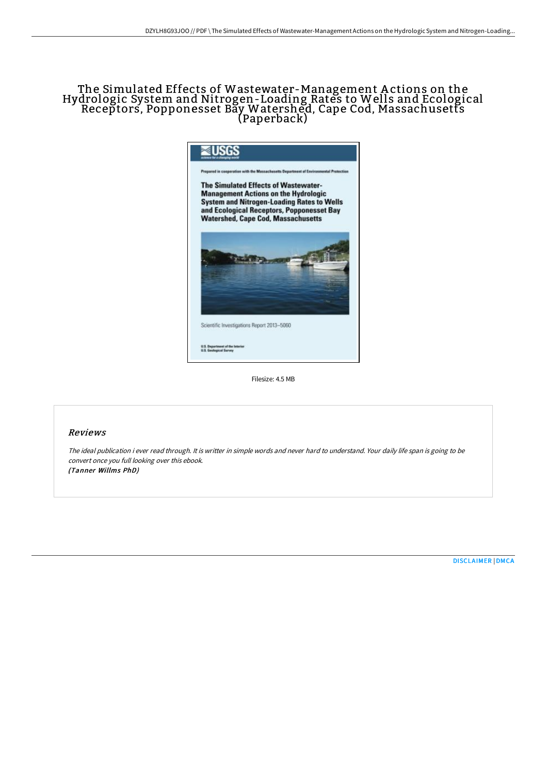## The Simulated Effects of Wastewater-Management A ctions on the Hydrologic System and Nitrogen-Loading Rates to Wells and Ecological Receptors, Popponesset Bay Watershed, Cape Cod, Massachusetts (Paperback)



Filesize: 4.5 MB

## Reviews

The ideal publication i ever read through. It is writter in simple words and never hard to understand. Your daily life span is going to be convert once you full looking over this ebook. (Tanner Willms PhD)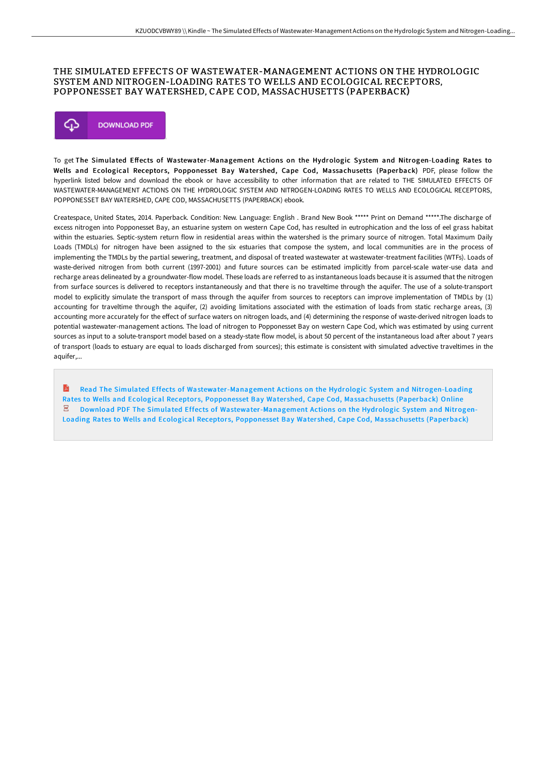## THE SIMULATED EFFECTS OF WASTEWATER-MANAGEMENT ACTIONS ON THE HYDROLOGIC SYSTEM AND NITROGEN-LOADING RATES TO WELLS AND ECOLOGICAL RECEPTORS, POPPONESSET BAY WATERSHED, CAPE COD, MASSACHUSETTS (PAPERBACK)



To get The Simulated Effects of Wastewater-Management Actions on the Hydrologic System and Nitrogen-Loading Rates to Wells and Ecological Receptors, Popponesset Bay Watershed, Cape Cod, Massachusetts (Paperback) PDF, please follow the hyperlink listed below and download the ebook or have accessibility to other information that are related to THE SIMULATED EFFECTS OF WASTEWATER-MANAGEMENT ACTIONS ON THE HYDROLOGIC SYSTEM AND NITROGEN-LOADING RATES TO WELLS AND ECOLOGICAL RECEPTORS, POPPONESSET BAY WATERSHED, CAPE COD, MASSACHUSETTS (PAPERBACK) ebook.

Createspace, United States, 2014. Paperback. Condition: New. Language: English . Brand New Book \*\*\*\*\* Print on Demand \*\*\*\*\*.The discharge of excess nitrogen into Popponesset Bay, an estuarine system on western Cape Cod, has resulted in eutrophication and the loss of eel grass habitat within the estuaries. Septic-system return flow in residential areas within the watershed is the primary source of nitrogen. Total Maximum Daily Loads (TMDLs) for nitrogen have been assigned to the six estuaries that compose the system, and local communities are in the process of implementing the TMDLs by the partial sewering, treatment, and disposal of treated wastewater at wastewater-treatment facilities (WTFs). Loads of waste-derived nitrogen from both current (1997-2001) and future sources can be estimated implicitly from parcel-scale water-use data and recharge areas delineated by a groundwater-flow model. These loads are referred to as instantaneous loads because it is assumed that the nitrogen from surface sources is delivered to receptors instantaneously and that there is no traveltime through the aquifer. The use of a solute-transport model to explicitly simulate the transport of mass through the aquifer from sources to receptors can improve implementation of TMDLs by (1) accounting for traveltime through the aquifer, (2) avoiding limitations associated with the estimation of loads from static recharge areas, (3) accounting more accurately for the effect of surface waters on nitrogen loads, and (4) determining the response of waste-derived nitrogen loads to potential wastewater-management actions. The load of nitrogen to Popponesset Bay on western Cape Cod, which was estimated by using current sources as input to a solute-transport model based on a steady-state flow model, is about 50 percent of the instantaneous load after about 7 years of transport (loads to estuary are equal to loads discharged from sources); this estimate is consistent with simulated advective traveltimes in the aquifer....

R Read The Simulated Effects of [Wastewater-Management](http://albedo.media/the-simulated-effects-of-wastewater-management-a.html) Actions on the Hydrologic System and Nitrogen-Loading Rates to Wells and Ecological Receptors, Popponesset Bay Watershed, Cape Cod, Massachusetts (Paperback) Online  $\overline{\mathsf{PDF}}$ Download PDF The Simulated Effects of [Wastewater-Management](http://albedo.media/the-simulated-effects-of-wastewater-management-a.html) Actions on the Hydrologic System and Nitrogen-Loading Rates to Wells and Ecological Receptors, Popponesset Bay Watershed, Cape Cod, Massachusetts (Paperback)